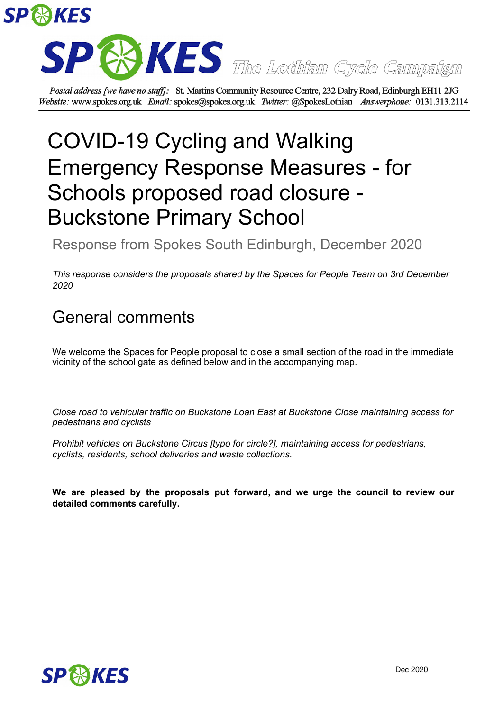



Postal address [we have no staff]: St. Martins Community Resource Centre, 232 Dalry Road, Edinburgh EH11 2JG Website: www.spokes.org.uk Email: spokes@spokes.org.uk Twitter: @SpokesLothian Answerphone: 0131.313.2114

## COVID-19 Cycling and Walking Emergency Response Measures - for Schools proposed road closure - Buckstone Primary School

Response from Spokes South Edinburgh, December 2020

*This response considers the proposals shared by the Spaces for People Team on 3rd December 2020*

## General comments

We welcome the Spaces for People proposal to close a small section of the road in the immediate vicinity of the school gate as defined below and in the accompanying map.

*Close road to vehicular traffic on Buckstone Loan East at Buckstone Close maintaining access for pedestrians and cyclists*

*Prohibit vehicles on Buckstone Circus [typo for circle?], maintaining access for pedestrians, cyclists, residents, school deliveries and waste collections.*

**We are pleased by the proposals put forward, and we urge the council to review our detailed comments carefully.**

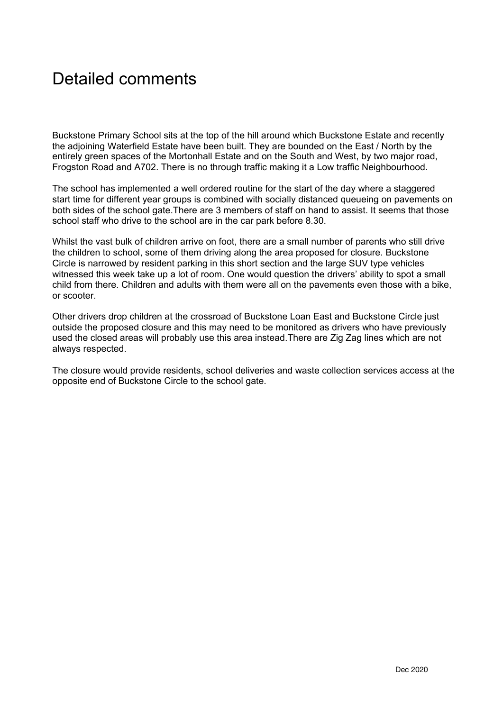## Detailed comments

Buckstone Primary School sits at the top of the hill around which Buckstone Estate and recently the adjoining Waterfield Estate have been built. They are bounded on the East / North by the entirely green spaces of the Mortonhall Estate and on the South and West, by two major road, Frogston Road and A702. There is no through traffic making it a Low traffic Neighbourhood.

The school has implemented a well ordered routine for the start of the day where a staggered start time for different year groups is combined with socially distanced queueing on pavements on both sides of the school gate.There are 3 members of staff on hand to assist. It seems that those school staff who drive to the school are in the car park before 8.30.

Whilst the vast bulk of children arrive on foot, there are a small number of parents who still drive the children to school, some of them driving along the area proposed for closure. Buckstone Circle is narrowed by resident parking in this short section and the large SUV type vehicles witnessed this week take up a lot of room. One would question the drivers' ability to spot a small child from there. Children and adults with them were all on the pavements even those with a bike, or scooter.

Other drivers drop children at the crossroad of Buckstone Loan East and Buckstone Circle just outside the proposed closure and this may need to be monitored as drivers who have previously used the closed areas will probably use this area instead.There are Zig Zag lines which are not always respected.

The closure would provide residents, school deliveries and waste collection services access at the opposite end of Buckstone Circle to the school gate.